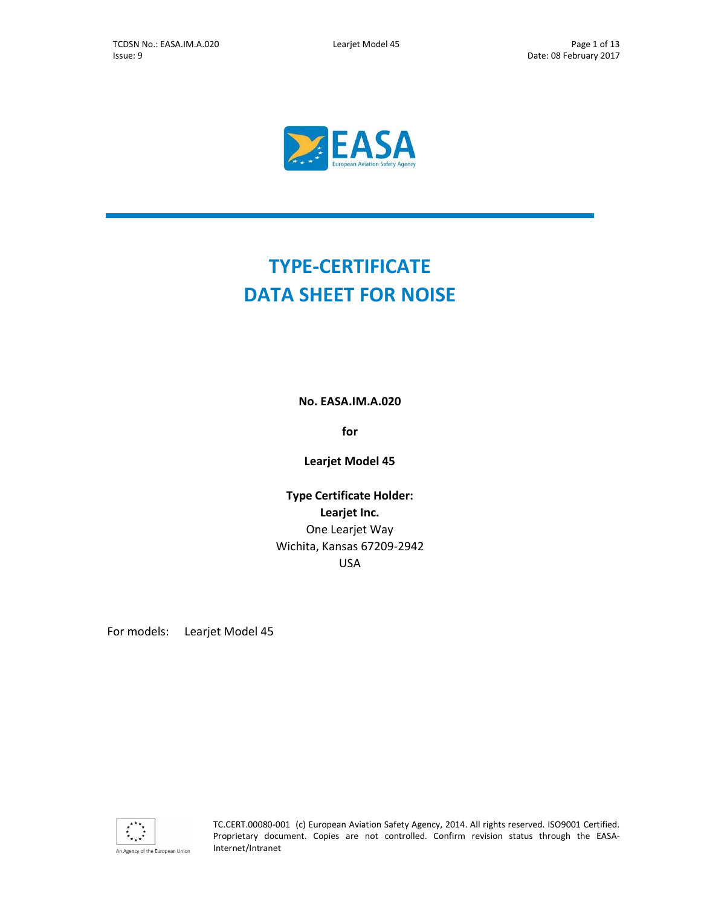

## **TYPE-CERTIFICATE DATA SHEET FOR NOISE**

**No. EASA.IM.A.020** 

**for** 

**Learjet Model 45** 

**Type Certificate Holder: Learjet Inc.**  One Learjet Way Wichita, Kansas 67209-2942 USA

For models: Learjet Model 45

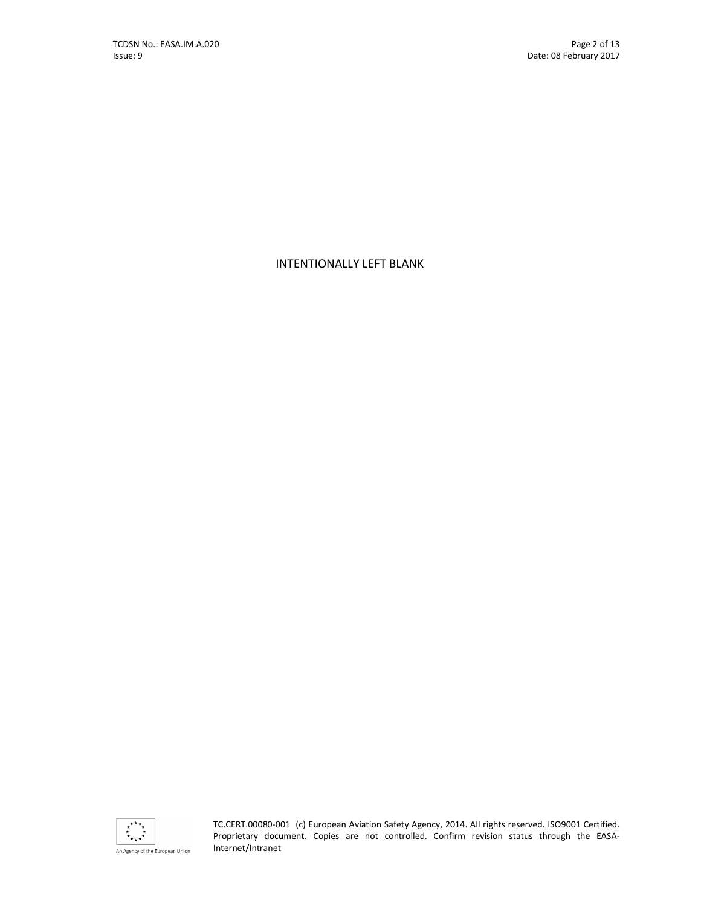## INTENTIONALLY LEFT BLANK

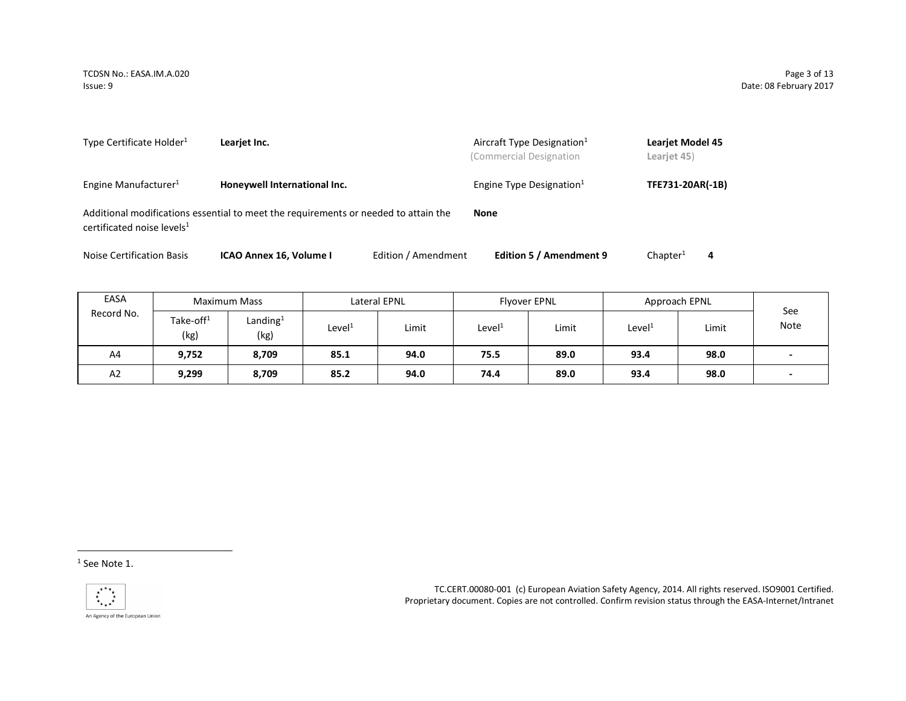TCDSN No.: EASA.IM.A.020 Page 3 of 13 Issue: 9

| Type Certificate Holder <sup>1</sup><br>Learjet Inc. |                                                                                     |                     | Aircraft Type Designation <sup>1</sup><br>(Commercial Designation | <b>Leariet Model 45</b><br>Learjet 45) |   |
|------------------------------------------------------|-------------------------------------------------------------------------------------|---------------------|-------------------------------------------------------------------|----------------------------------------|---|
| Engine Manufacturer <sup>1</sup>                     | Honeywell International Inc.                                                        |                     | Engine Type Designation <sup>1</sup>                              | TFE731-20AR(-1B)                       |   |
| certificated noise levels <sup>1</sup>               | Additional modifications essential to meet the requirements or needed to attain the |                     | <b>None</b>                                                       |                                        |   |
| Noise Certification Basis                            | ICAO Annex 16, Volume I                                                             | Edition / Amendment | Edition 5 / Amendment 9                                           | Chapter <sup>1</sup>                   | 4 |

| EASA           | <b>Maximum Mass</b>           |                              | Lateral EPNL       |       | <b>Flyover EPNL</b> |       | Approach EPNL      |       |             |
|----------------|-------------------------------|------------------------------|--------------------|-------|---------------------|-------|--------------------|-------|-------------|
| Record No.     | Take-off <sup>1</sup><br>(kg) | Landing <sup>1</sup><br>(kg) | Level <sup>1</sup> | Limit | Level <sup>1</sup>  | Limit | Level <sup>1</sup> | Limit | See<br>Note |
| A <sub>4</sub> | 9,752                         | 8,709                        | 85.1               | 94.0  | 75.5                | 89.0  | 93.4               | 98.0  |             |
| A <sub>2</sub> | 9,299                         | 8,709                        | 85.2               | 94.0  | 74.4                | 89.0  | 93.4               | 98.0  |             |

 $1$  See Note 1.

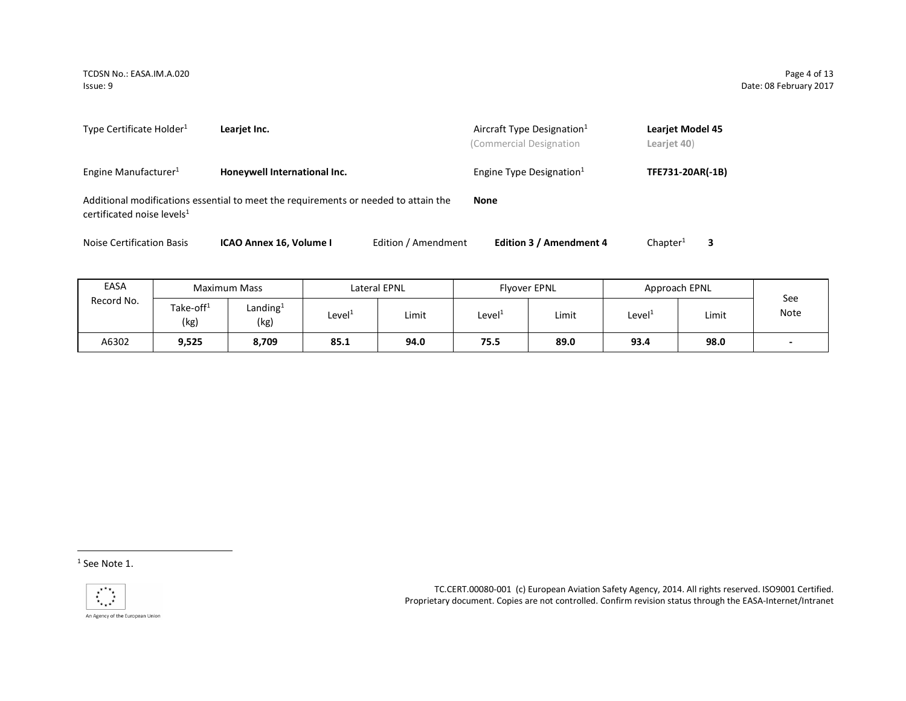TCDSN No.: EASA.IM.A.020 Page 4 of 13 Issue: 9

| Type Certificate Holder <sup>1</sup><br>Learjet Inc. |                                                                                     | Aircraft Type Designation <sup>1</sup><br>(Commercial Designation | <b>Leariet Model 45</b><br>Learjet 40) |                      |   |
|------------------------------------------------------|-------------------------------------------------------------------------------------|-------------------------------------------------------------------|----------------------------------------|----------------------|---|
| Engine Manufacturer <sup>1</sup>                     | Honeywell International Inc.                                                        |                                                                   | Engine Type Designation <sup>1</sup>   | TFE731-20AR(-1B)     |   |
| certificated noise levels <sup>1</sup>               | Additional modifications essential to meet the requirements or needed to attain the |                                                                   | None                                   |                      |   |
| Noise Certification Basis                            | ICAO Annex 16, Volume I                                                             | Edition / Amendment                                               | Edition 3 / Amendment 4                | Chapter <sup>1</sup> | з |

| EASA       | <b>Maximum Mass</b>  |                      | Lateral EPNL       |       | Flyover EPNL |       | Approach EPNL |      |             |
|------------|----------------------|----------------------|--------------------|-------|--------------|-------|---------------|------|-------------|
| Record No. | Take-off $1$<br>(kg) | Landing $^1$<br>(kg) | Level <sup>1</sup> | Limit | Level        | Limit | Level         | imit | See<br>Note |
| A6302      | 9,525                | 8,709                | 85.1               | 94.0  | 75.5         | 89.0  | 93.4          | 98.0 |             |

 $1$  See Note 1.

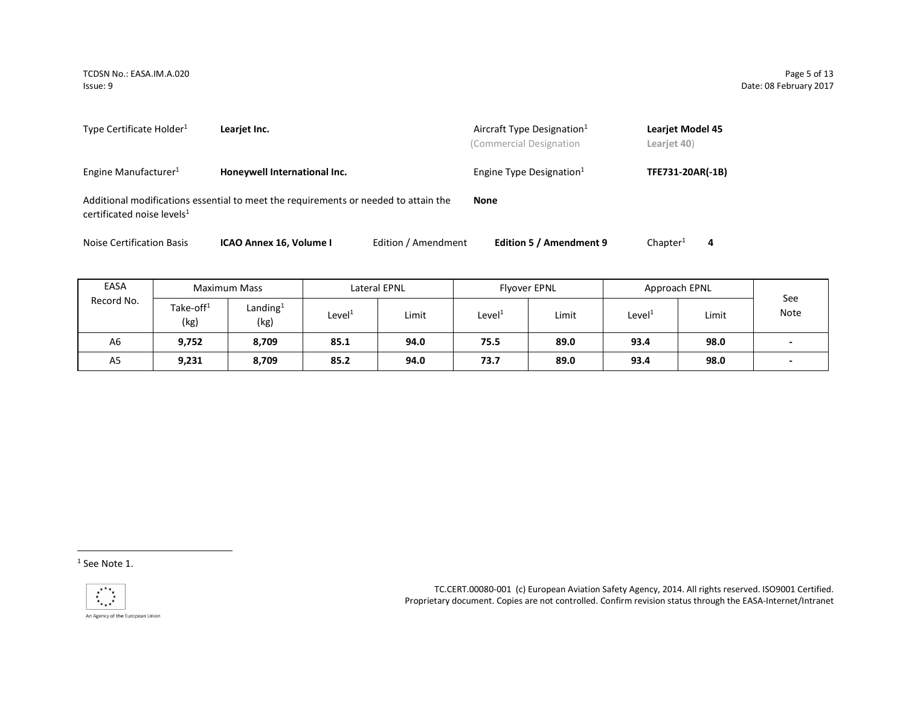TCDSN No.: EASA.IM.A.020 Page 5 of 13 Issue: 9

| Type Certificate Holder <sup>1</sup><br>Learjet Inc. |                                                                                     |                     | Aircraft Type Designation <sup>1</sup><br>(Commercial Designation | <b>Leariet Model 45</b><br>Learjet 40) |   |
|------------------------------------------------------|-------------------------------------------------------------------------------------|---------------------|-------------------------------------------------------------------|----------------------------------------|---|
| Engine Manufacturer <sup>1</sup>                     | Honeywell International Inc.                                                        |                     | Engine Type Designation $1$                                       | TFE731-20AR(-1B)                       |   |
| certificated noise levels <sup>1</sup>               | Additional modifications essential to meet the requirements or needed to attain the |                     | None                                                              |                                        |   |
| Noise Certification Basis                            | ICAO Annex 16, Volume I                                                             | Edition / Amendment | Edition 5 / Amendment 9                                           | Chapter <sup>1</sup>                   | 4 |

| EASA           |                               | Maximum Mass        | Lateral EPNL       |       | Flyover EPNL       |       | Approach EPNL      |       | See  |
|----------------|-------------------------------|---------------------|--------------------|-------|--------------------|-------|--------------------|-------|------|
| Record No.     | Take-off <sup>1</sup><br>(kg) | Landing $1$<br>(kg) | Level <del>'</del> | Limit | Level <sup>1</sup> | Limit | Level <sup>1</sup> | Limit | Note |
| A <sub>6</sub> | 9,752                         | 8,709               | 85.1               | 94.0  | 75.5               | 89.0  | 93.4               | 98.0  |      |
| A <sub>5</sub> | 9,231                         | 8,709               | 85.2               | 94.0  | 73.7               | 89.0  | 93.4               | 98.0  |      |

<sup>1</sup> See Note 1.

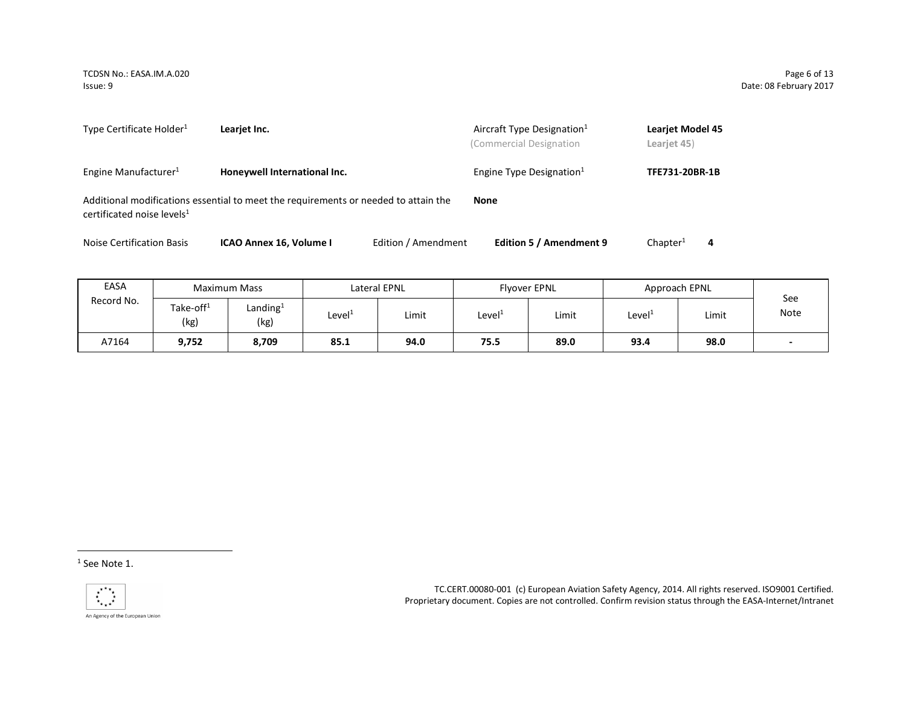TCDSN No.: EASA.IM.A.020 Page 6 of 13 Issue: 9

| Type Certificate Holder <sup>1</sup><br>Learjet Inc. |                                                                                     | Aircraft Type Designation <sup>1</sup><br>(Commercial Designation | <b>Leariet Model 45</b><br>Learjet 45) |                      |   |
|------------------------------------------------------|-------------------------------------------------------------------------------------|-------------------------------------------------------------------|----------------------------------------|----------------------|---|
| Engine Manufacturer <sup>1</sup>                     | Honeywell International Inc.                                                        |                                                                   | Engine Type Designation $1$            | TFE731-20BR-1B       |   |
| certificated noise levels <sup>1</sup>               | Additional modifications essential to meet the requirements or needed to attain the |                                                                   | <b>None</b>                            |                      |   |
| Noise Certification Basis                            | ICAO Annex 16, Volume I                                                             | Edition / Amendment                                               | Edition 5 / Amendment 9                | Chapter <sup>1</sup> | 4 |

| EASA       | <b>Maximum Mass</b>  |                      | Lateral EPNL       |       | <b>Flyover EPNL</b> |       | Approach EPNL      |       | See  |
|------------|----------------------|----------------------|--------------------|-------|---------------------|-------|--------------------|-------|------|
| Record No. | Take-off $1$<br>(kg) | Landing $^1$<br>(kg) | Level <sup>1</sup> | Limit | Level $^{\rm 1}$    | Limit | Level <sup>:</sup> | Limit | Note |
| A7164      | 9,752                | 8,709                | 85.1               | 94.0  | 75.5                | 89.0  | 93.4               | 98.0  |      |

 $1$  See Note 1.

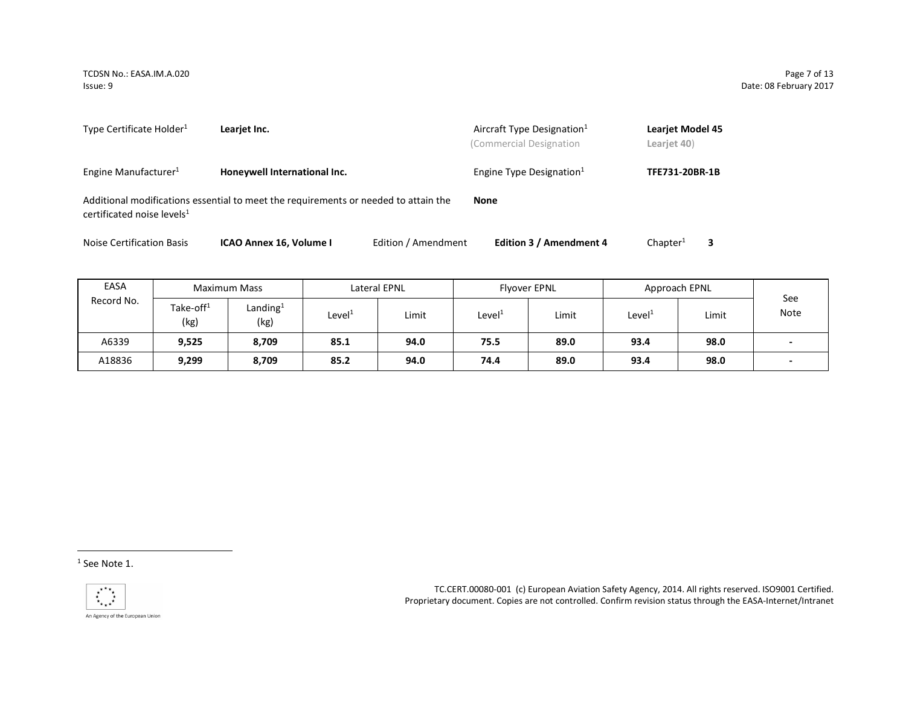TCDSN No.: EASA.IM.A.020 Page 7 of 13 Issue: 9

| Type Certificate Holder <sup>1</sup>   | Learjet Inc.                                                                        |                     | Aircraft Type Designation <sup>1</sup><br>(Commercial Designation | <b>Leariet Model 45</b><br>Learjet 40) |   |
|----------------------------------------|-------------------------------------------------------------------------------------|---------------------|-------------------------------------------------------------------|----------------------------------------|---|
| Engine Manufacturer <sup>1</sup>       | Honeywell International Inc.                                                        |                     | Engine Type Designation <sup>1</sup>                              | <b>TFE731-20BR-1B</b>                  |   |
| certificated noise levels <sup>1</sup> | Additional modifications essential to meet the requirements or needed to attain the |                     | <b>None</b>                                                       |                                        |   |
| Noise Certification Basis              | ICAO Annex 16, Volume I                                                             | Edition / Amendment | Edition 3 / Amendment 4                                           | Chapter <sup>1</sup>                   | 3 |

| EASA       | <b>Maximum Mass</b>  |                     | Lateral EPNL     |       | <b>Flyover EPNL</b> |       | Approach EPNL      |       | See  |
|------------|----------------------|---------------------|------------------|-------|---------------------|-------|--------------------|-------|------|
| Record No. | Take-off $1$<br>(kg) | Landing $1$<br>(kg) | Level $^{\rm 1}$ | Limit | Level <sup>1</sup>  | Limit | Level <sup>1</sup> | Limit | Note |
| A6339      | 9,525                | 8,709               | 85.1             | 94.0  | 75.5                | 89.0  | 93.4               | 98.0  |      |
| A18836     | 9,299                | 8,709               | 85.2             | 94.0  | 74.4                | 89.0  | 93.4               | 98.0  |      |

<sup>1</sup> See Note 1.

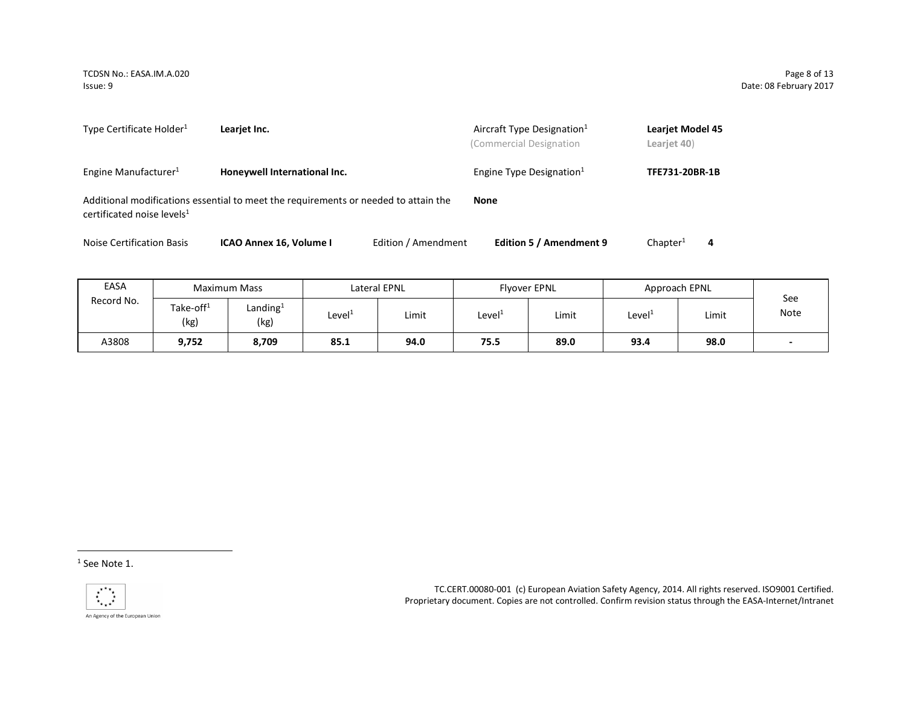TCDSN No.: EASA.IM.A.020 Page 8 of 13 Issue: 9

| Type Certificate Holder <sup>1</sup><br>Learjet Inc. |                                                                                     |                     | Aircraft Type Designation <sup>1</sup><br>(Commercial Designation | <b>Leariet Model 45</b><br>Learjet 40) |   |
|------------------------------------------------------|-------------------------------------------------------------------------------------|---------------------|-------------------------------------------------------------------|----------------------------------------|---|
| Engine Manufacturer <sup>1</sup>                     | Honeywell International Inc.                                                        |                     | Engine Type Designation $1$                                       | TFE731-20BR-1B                         |   |
| certificated noise levels <sup>1</sup>               | Additional modifications essential to meet the requirements or needed to attain the |                     | None                                                              |                                        |   |
| Noise Certification Basis                            | ICAO Annex 16, Volume I                                                             | Edition / Amendment | Edition 5 / Amendment 9                                           | Chapter <sup>1</sup>                   | 4 |

| EASA       | <b>Maximum Mass</b>  |                      | Lateral EPNL       |       | <b>Flyover EPNL</b> |       | Approach EPNL      |       | See  |
|------------|----------------------|----------------------|--------------------|-------|---------------------|-------|--------------------|-------|------|
| Record No. | Take-off $1$<br>(kg) | Landing $^1$<br>(kg) | Level <sup>1</sup> | Limit | Level $^{\rm 1}$    | Limit | Level <sup>:</sup> | Limit | Note |
| A3808      | 9,752                | 8,709                | 85.1               | 94.0  | 75.5                | 89.0  | 93.4               | 98.0  |      |

 $1$  See Note 1.

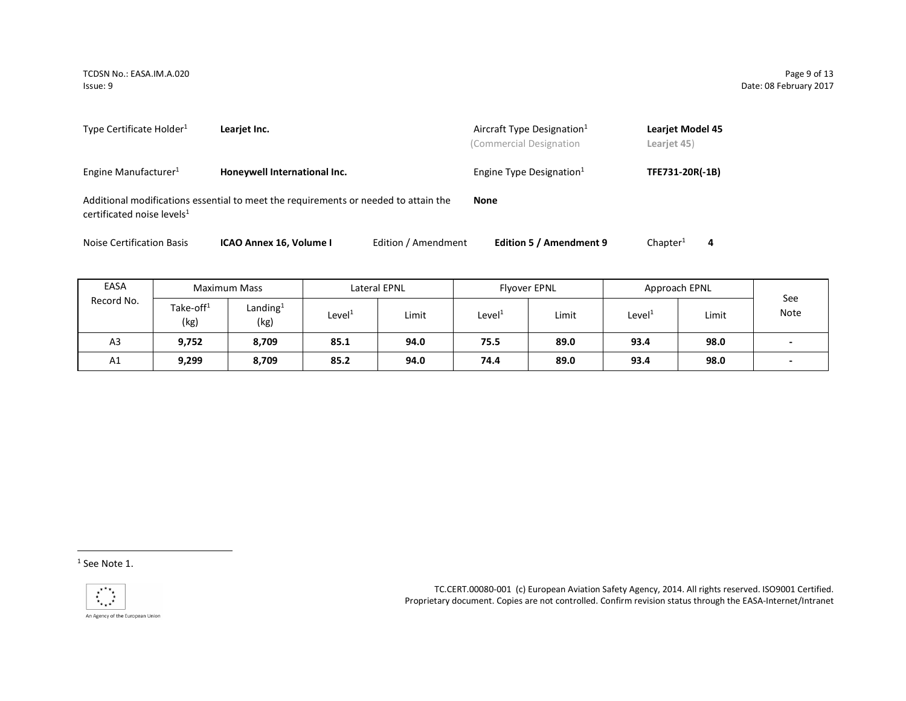TCDSN No.: EASA.IM.A.020 Page 9 of 13 Issue: 9

| Type Certificate Holder <sup>1</sup><br>Learjet Inc. |                                                                                     |                     | Aircraft Type Designation <sup>1</sup><br>(Commercial Designation | <b>Leariet Model 45</b><br>Learjet 45) |  |
|------------------------------------------------------|-------------------------------------------------------------------------------------|---------------------|-------------------------------------------------------------------|----------------------------------------|--|
| Engine Manufacturer <sup>1</sup>                     | Honeywell International Inc.                                                        |                     | Engine Type Designation <sup>1</sup>                              | TFE731-20R(-1B)                        |  |
| certificated noise levels <sup>1</sup>               | Additional modifications essential to meet the requirements or needed to attain the |                     | None                                                              |                                        |  |
| Noise Certification Basis                            | ICAO Annex 16, Volume I                                                             | Edition / Amendment | Edition 5 / Amendment 9                                           | Chapter <sup>1</sup><br>4              |  |

| EASA           |                      | <b>Maximum Mass</b> | Lateral EPNL     |       | Flyover EPNL       |       | Approach EPNL      |       |             |
|----------------|----------------------|---------------------|------------------|-------|--------------------|-------|--------------------|-------|-------------|
| Record No.     | Take-off $1$<br>(kg) | Landing $1$<br>(kg) | Level $^{\rm 1}$ | Limit | Level <sup>1</sup> | Limit | Level <sup>1</sup> | Limit | See<br>Note |
| A <sub>3</sub> | 9,752                | 8,709               | 85.1             | 94.0  | 75.5               | 89.0  | 93.4               | 98.0  |             |
| A1             | 9,299                | 8,709               | 85.2             | 94.0  | 74.4               | 89.0  | 93.4               | 98.0  |             |

 $1$  See Note 1.

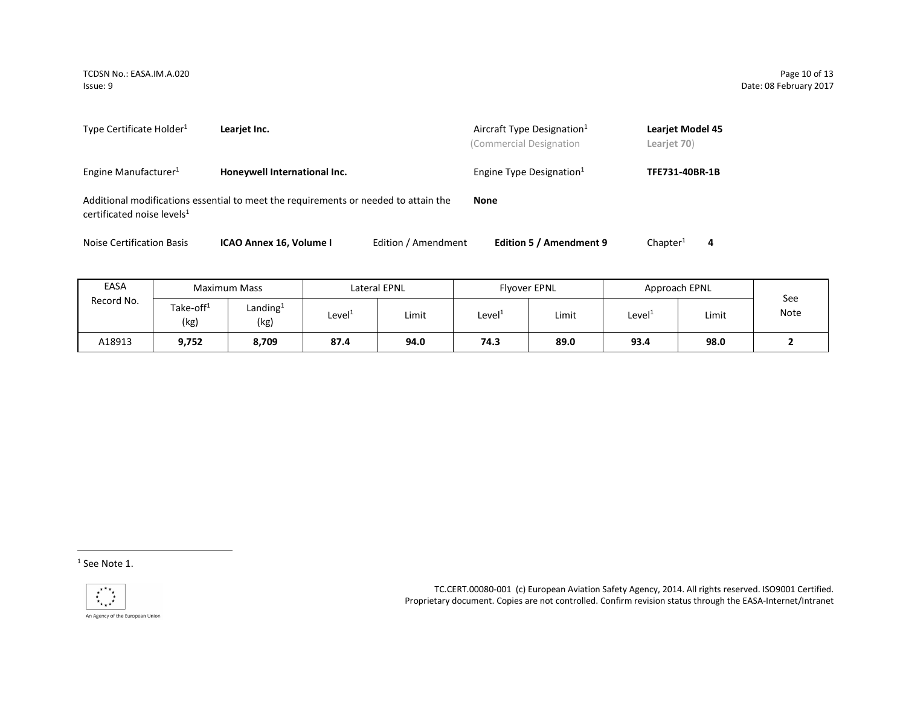TCDSN No.: EASA.IM.A.020 Page 10 of 13 Issue: 9

| Type Certificate Holder <sup>1</sup><br>Learjet Inc. |                                                                                     |                     | Aircraft Type Designation <sup>1</sup><br>(Commercial Designation | Learjet 70)          | <b>Leariet Model 45</b> |  |
|------------------------------------------------------|-------------------------------------------------------------------------------------|---------------------|-------------------------------------------------------------------|----------------------|-------------------------|--|
| Engine Manufacturer <sup>1</sup>                     | Honeywell International Inc.                                                        |                     | Engine Type Designation <sup>1</sup>                              | TFE731-40BR-1B       |                         |  |
| certificated noise levels <sup>1</sup>               | Additional modifications essential to meet the requirements or needed to attain the |                     | None                                                              |                      |                         |  |
| Noise Certification Basis                            | ICAO Annex 16, Volume I                                                             | Edition / Amendment | Edition 5 / Amendment 9                                           | Chapter <sup>1</sup> | 4                       |  |

| EASA       |                      | <b>Maximum Mass</b>          | Lateral EPNL |       | <b>Flyover EPNL</b> |       | Approach EPNL      |       |             |  |
|------------|----------------------|------------------------------|--------------|-------|---------------------|-------|--------------------|-------|-------------|--|
| Record No. | Take-off $1$<br>(kg) | Landing <sup>1</sup><br>(kg) | Level        | Limit | Level $^{\rm 1}$    | Limit | Level <sup>:</sup> | Limit | See<br>Note |  |
| A18913     | 9,752                | 8,709                        | 87.4         | 94.0  | 74.3                | 89.0  | 93.4               | 98.0  |             |  |

 $1$  See Note 1.

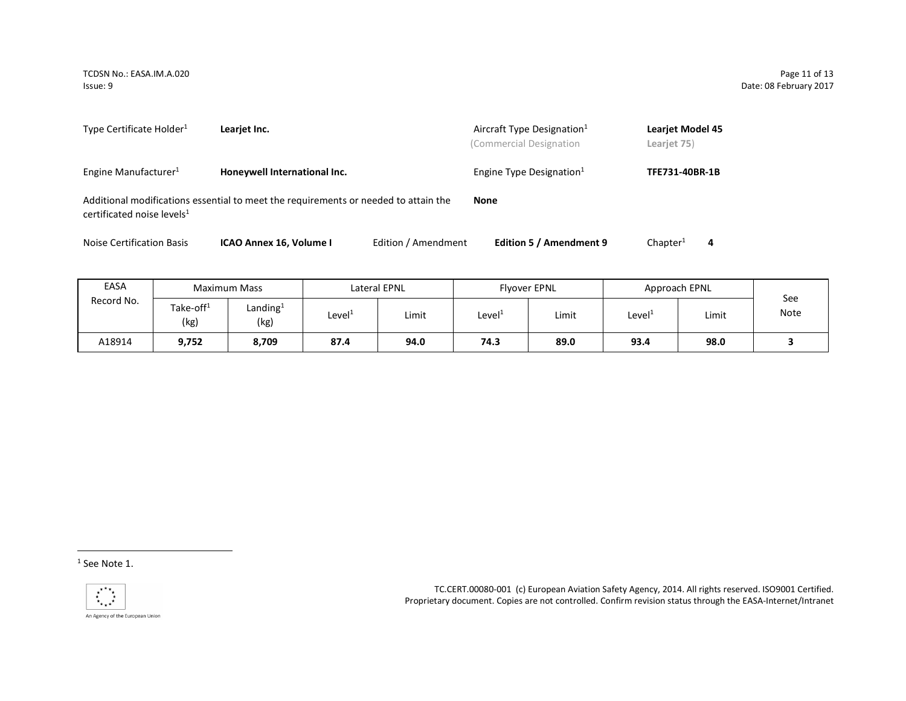TCDSN No.: EASA.IM.A.020 Page 11 of 13 Issue: 9

| Type Certificate Holder <sup>1</sup><br>Learjet Inc. |                                                                                     |                     | Aircraft Type Designation <sup>1</sup><br>(Commercial Designation | <b>Leariet Model 45</b><br>Learjet 75) |   |
|------------------------------------------------------|-------------------------------------------------------------------------------------|---------------------|-------------------------------------------------------------------|----------------------------------------|---|
| Engine Manufacturer <sup>1</sup>                     | Honeywell International Inc.                                                        |                     | Engine Type Designation $1$                                       | TFE731-40BR-1B                         |   |
| certificated noise levels <sup>1</sup>               | Additional modifications essential to meet the requirements or needed to attain the |                     | <b>None</b>                                                       |                                        |   |
| Noise Certification Basis                            | ICAO Annex 16, Volume I                                                             | Edition / Amendment | Edition 5 / Amendment 9                                           | Chapter <sup>1</sup>                   | 4 |

| EASA       |                      | <b>Maximum Mass</b>  | Lateral EPNL       |       | <b>Flyover EPNL</b> |       | Approach EPNL      |       |             |
|------------|----------------------|----------------------|--------------------|-------|---------------------|-------|--------------------|-------|-------------|
| Record No. | Take-off $1$<br>(kg) | Landing $^1$<br>(kg) | Level <sup>1</sup> | Limit | Level $^{\rm 1}$    | Limit | Level <sup>:</sup> | Limit | See<br>Note |
| A18914     | 9,752                | 8,709                | 87.4               | 94.0  | 74.3                | 89.0  | 93.4               | 98.0  |             |

 $1$  See Note 1.

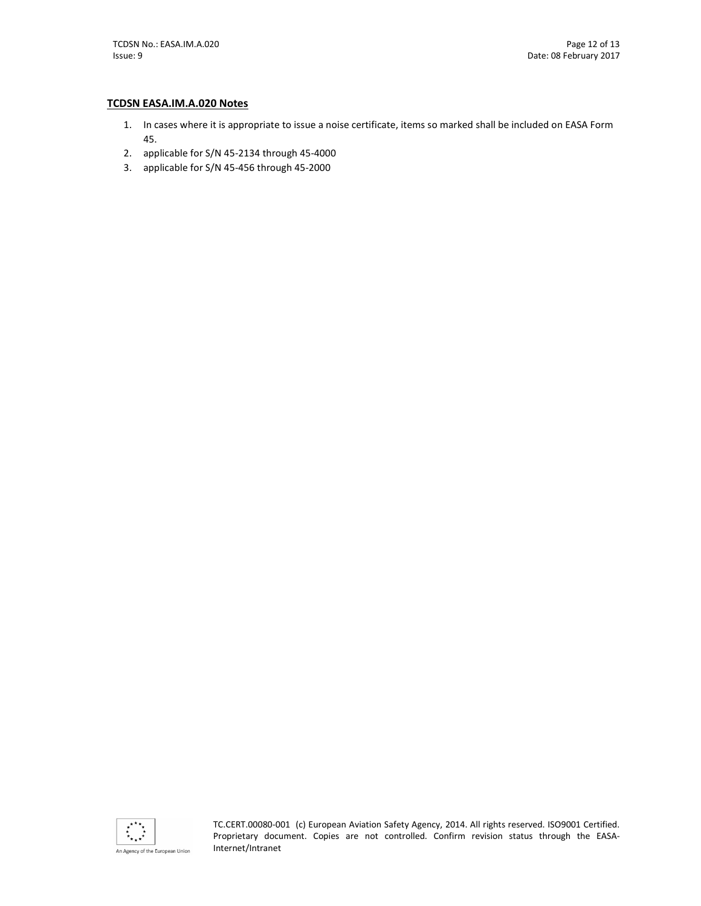## **TCDSN EASA.IM.A.020 Notes**

- 1. In cases where it is appropriate to issue a noise certificate, items so marked shall be included on EASA Form 45.
- 2. applicable for S/N 45-2134 through 45-4000
- 3. applicable for S/N 45-456 through 45-2000